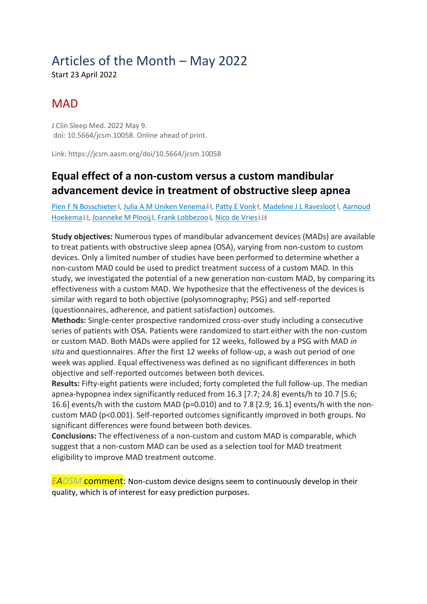# Articles of the Month – May 2022

Start 23 April 2022

## **MAD**

J Clin Sleep Med. 2022 May 9. doi: 10.5664/jcsm.10058. Online ahead of print.

Link: https://jcsm.aasm.org/doi/10.5664/jcsm.10058

### **Equal effect of a non-custom versus a custom mandibular advancement device in treatment of obstructive sleep apnea**

[Pien F N Bosschieter](https://pubmed.ncbi.nlm.nih.gov/?sort=date&size=100&term=Bosschieter+PFN&cauthor_id=35532113)<sup>1</sup>[,](https://pubmed.ncbi.nlm.nih.gov/35532113/#affiliation-1) [Julia A M Uniken Venema](https://pubmed.ncbi.nlm.nih.gov/?sort=date&size=100&term=Venema+JAMU&cauthor_id=35532113)<sup>[2](https://pubmed.ncbi.nlm.nih.gov/35532113/#affiliation-2)3</sup>, [Patty E Vonk](https://pubmed.ncbi.nlm.nih.gov/?sort=date&size=100&term=Vonk+PE&cauthor_id=35532113)<sup>4</sup>, [Madeline J L Ravesloot](https://pubmed.ncbi.nlm.nih.gov/?sort=date&size=100&term=Ravesloot+MJL&cauthor_id=35532113)<sup>1</sup>, Aarnoud <u>[Hoekema](https://pubmed.ncbi.nlm.nih.gov/?sort=date&size=100&term=Hoekema+A&cauthor_id=35532113) [2](https://pubmed.ncbi.nlm.nih.gov/35532113/#affiliation-2)3[,](https://pubmed.ncbi.nlm.nih.gov/35532113/#affiliation-2) [Joanneke M Plooij](https://pubmed.ncbi.nlm.nih.gov/?sort=date&size=100&term=Plooij+JM&cauthor_id=35532113) 5, [Frank Lobbezoo](https://pubmed.ncbi.nlm.nih.gov/?sort=date&size=100&term=Lobbezoo+F&cauthor_id=35532113) 2, [Nico de Vries](https://pubmed.ncbi.nlm.nih.gov/?sort=date&size=100&term=Vries+N&cauthor_id=35532113) [1](https://pubmed.ncbi.nlm.nih.gov/35532113/#affiliation-1)2[6](https://pubmed.ncbi.nlm.nih.gov/35532113/#affiliation-6)</u>

**Study objectives:** Numerous types of mandibular advancement devices (MADs) are available to treat patients with obstructive sleep apnea (OSA), varying from non-custom to custom devices. Only a limited number of studies have been performed to determine whether a non-custom MAD could be used to predict treatment success of a custom MAD. In this study, we investigated the potential of a new generation non-custom MAD, by comparing its effectiveness with a custom MAD. We hypothesize that the effectiveness of the devices is similar with regard to both objective (polysomnography; PSG) and self-reported (questionnaires, adherence, and patient satisfaction) outcomes.

**Methods:** Single-center prospective randomized cross-over study including a consecutive series of patients with OSA. Patients were randomized to start either with the non-custom or custom MAD. Both MADs were applied for 12 weeks, followed by a PSG with MAD *in situ* and questionnaires. After the first 12 weeks of follow-up, a wash out period of one week was applied. Equal effectiveness was defined as no significant differences in both objective and self-reported outcomes between both devices.

**Results:** Fifty-eight patients were included; forty completed the full follow-up. The median apnea-hypopnea index significantly reduced from 16.3 [7.7; 24.8] events/h to 10.7 [5.6; 16.6] events/h with the custom MAD (p=0.010) and to 7.8 [2.9; 16.1] events/h with the noncustom MAD (p<0.001). Self-reported outcomes significantly improved in both groups. No significant differences were found between both devices.

**Conclusions:** The effectiveness of a non-custom and custom MAD is comparable, which suggest that a non-custom MAD can be used as a selection tool for MAD treatment eligibility to improve MAD treatment outcome.

*EADSM* comment: Non-custom device designs seem to continuously develop in their quality, which is of interest for easy prediction purposes.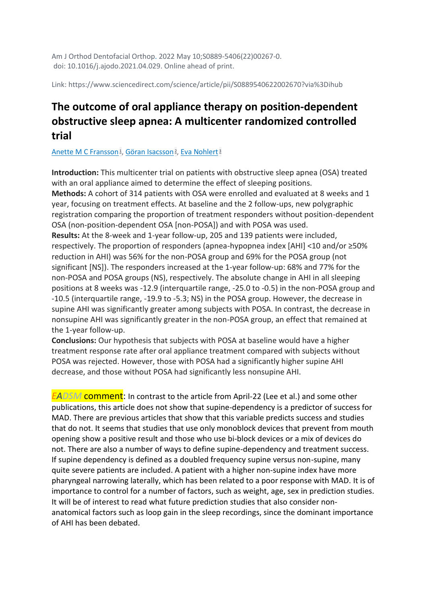Am J Orthod Dentofacial Orthop. 2022 May 10;S0889-5406(22)00267-0. doi: 10.1016/j.ajodo.2021.04.029. Online ahead of print.

Link: https://www.sciencedirect.com/science/article/pii/S0889540622002670?via%3Dihub

#### **The outcome of oral appliance therapy on position-dependent obstructive sleep apnea: A multicenter randomized controlled trial**

[Anette M C Fransson](https://pubmed.ncbi.nlm.nih.gov/?sort=date&size=100&term=Fransson+AMC&cauthor_id=35562290)<sup>1</sup>[,](https://pubmed.ncbi.nlm.nih.gov/35562290/#affiliation-2) [Göran Isacsson](https://pubmed.ncbi.nlm.nih.gov/?sort=date&size=100&term=Isacsson+G&cauthor_id=35562290)<sup>2</sup>, [Eva Nohlert](https://pubmed.ncbi.nlm.nih.gov/?sort=date&size=100&term=Nohlert+E&cauthor_id=35562290)<sup>[3](https://pubmed.ncbi.nlm.nih.gov/35562290/#affiliation-3)</sup>

**Introduction:** This multicenter trial on patients with obstructive sleep apnea (OSA) treated with an oral appliance aimed to determine the effect of sleeping positions.

**Methods:** A cohort of 314 patients with OSA were enrolled and evaluated at 8 weeks and 1 year, focusing on treatment effects. At baseline and the 2 follow-ups, new polygraphic registration comparing the proportion of treatment responders without position-dependent OSA (non-position-dependent OSA [non-POSA]) and with POSA was used. **Results:** At the 8-week and 1-year follow-up, 205 and 139 patients were included, respectively. The proportion of responders (apnea-hypopnea index [AHI] <10 and/or ≥50% reduction in AHI) was 56% for the non-POSA group and 69% for the POSA group (not significant [NS]). The responders increased at the 1-year follow-up: 68% and 77% for the non-POSA and POSA groups (NS), respectively. The absolute change in AHI in all sleeping positions at 8 weeks was -12.9 (interquartile range, -25.0 to -0.5) in the non-POSA group and -10.5 (interquartile range, -19.9 to -5.3; NS) in the POSA group. However, the decrease in supine AHI was significantly greater among subjects with POSA. In contrast, the decrease in nonsupine AHI was significantly greater in the non-POSA group, an effect that remained at the 1-year follow-up.

**Conclusions:** Our hypothesis that subjects with POSA at baseline would have a higher treatment response rate after oral appliance treatment compared with subjects without POSA was rejected. However, those with POSA had a significantly higher supine AHI decrease, and those without POSA had significantly less nonsupine AHI.

*EADSM* **comment**: In contrast to the article from April-22 (Lee et al.) and some other publications, this article does not show that supine-dependency is a predictor of success for MAD. There are previous articles that show that this variable predicts success and studies that do not. It seems that studies that use only monoblock devices that prevent from mouth opening show a positive result and those who use bi-block devices or a mix of devices do not. There are also a number of ways to define supine-dependency and treatment success. If supine dependency is defined as a doubled frequency supine versus non-supine, many quite severe patients are included. A patient with a higher non-supine index have more pharyngeal narrowing laterally, which has been related to a poor response with MAD. It is of importance to control for a number of factors, such as weight, age, sex in prediction studies. It will be of interest to read what future prediction studies that also consider nonanatomical factors such as loop gain in the sleep recordings, since the dominant importance of AHI has been debated.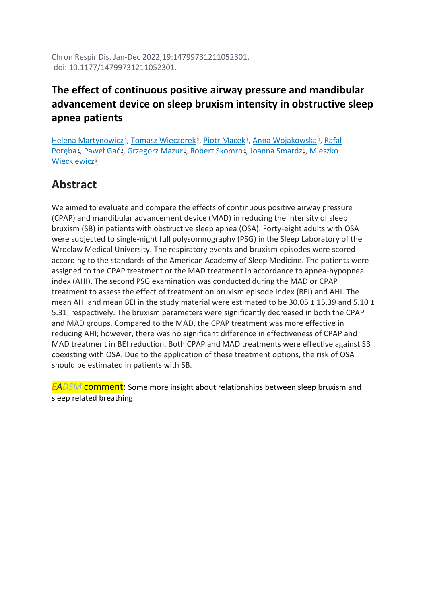Chron Respir Dis. Jan-Dec 2022;19:14799731211052301. doi: 10.1177/14799731211052301.

#### **The effect of continuous positive airway pressure and mandibular advancement device on sleep bruxism intensity in obstructive sleep apnea patients**

[Helena Martynowicz](https://pubmed.ncbi.nlm.nih.gov/?sort=date&size=100&term=Martynowicz+H&cauthor_id=35512250)<sup>1</sup>[,](https://pubmed.ncbi.nlm.nih.gov/35512250/#affiliation-1) [Tomasz Wieczorek](https://pubmed.ncbi.nlm.nih.gov/?sort=date&size=100&term=Wieczorek+T&cauthor_id=35512250)<sup>2</sup>, [Piotr Macek](https://pubmed.ncbi.nlm.nih.gov/?sort=date&size=100&term=Macek+P&cauthor_id=35512250)<sup>1</sup>, [Anna Wojakowska](https://pubmed.ncbi.nlm.nih.gov/?sort=date&size=100&term=Wojakowska+A&cauthor_id=35512250)<sup>1</sup>, Rafał [Poręba](https://pubmed.ncbi.nlm.nih.gov/?sort=date&size=100&term=Por%C4%99ba+R&cauthor_id=35512250)<sup>1</sup>[,](https://pubmed.ncbi.nlm.nih.gov/35512250/#affiliation-5) [Paweł Gać](https://pubmed.ncbi.nlm.nih.gov/?sort=date&size=100&term=Ga%C4%87+P&cauthor_id=35512250)<sup>3</sup>, [Grzegorz Mazur](https://pubmed.ncbi.nlm.nih.gov/?sort=date&size=100&term=Mazur+G&cauthor_id=35512250)<sup>1</sup>, [Robert Skomro](https://pubmed.ncbi.nlm.nih.gov/?sort=date&size=100&term=Skomro+R&cauthor_id=35512250)<sup>4</sup>, [Joanna Smardz](https://pubmed.ncbi.nlm.nih.gov/?sort=date&size=100&term=Smardz+J&cauthor_id=35512250)<sup>5</sup>, Mieszko [Więckiewicz](https://pubmed.ncbi.nlm.nih.gov/?sort=date&size=100&term=Wi%C4%99ckiewicz+M&cauthor_id=35512250)<sup>[5](https://pubmed.ncbi.nlm.nih.gov/35512250/#affiliation-5)</sup>

## **Abstract**

We aimed to evaluate and compare the effects of continuous positive airway pressure (CPAP) and mandibular advancement device (MAD) in reducing the intensity of sleep bruxism (SB) in patients with obstructive sleep apnea (OSA). Forty-eight adults with OSA were subjected to single-night full polysomnography (PSG) in the Sleep Laboratory of the Wroclaw Medical University. The respiratory events and bruxism episodes were scored according to the standards of the American Academy of Sleep Medicine. The patients were assigned to the CPAP treatment or the MAD treatment in accordance to apnea-hypopnea index (AHI). The second PSG examination was conducted during the MAD or CPAP treatment to assess the effect of treatment on bruxism episode index (BEI) and AHI. The mean AHI and mean BEI in the study material were estimated to be 30.05 ± 15.39 and 5.10 ± 5.31, respectively. The bruxism parameters were significantly decreased in both the CPAP and MAD groups. Compared to the MAD, the CPAP treatment was more effective in reducing AHI; however, there was no significant difference in effectiveness of CPAP and MAD treatment in BEI reduction. Both CPAP and MAD treatments were effective against SB coexisting with OSA. Due to the application of these treatment options, the risk of OSA should be estimated in patients with SB.

*EADSM* comment: Some more insight about relationships between sleep bruxism and sleep related breathing.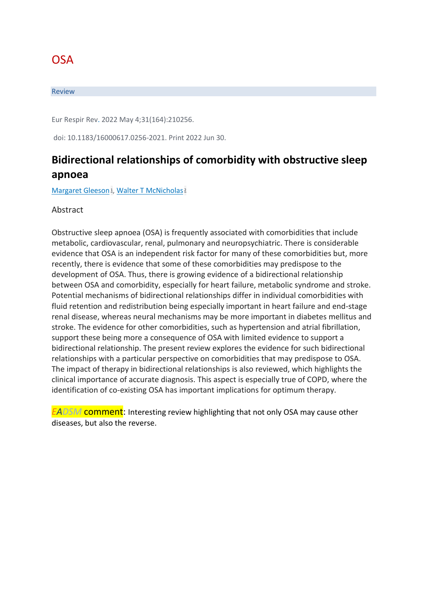## **OSA**

#### Review

Eur Respir Rev. 2022 May 4;31(164):210256.

doi: 10.1183/16000617.0256-2021. Print 2022 Jun 30.

#### **Bidirectional relationships of comorbidity with obstructive sleep apnoea**

[Margaret Gleeson](https://pubmed.ncbi.nlm.nih.gov/?sort=date&size=100&term=Gleeson+M&cauthor_id=35508332)<sup>1</sup>[,](https://pubmed.ncbi.nlm.nih.gov/35508332/#affiliation-1) [Walter T McNicholas](https://pubmed.ncbi.nlm.nih.gov/?sort=date&size=100&term=McNicholas+WT&cauthor_id=35508332)<sup>[2](https://pubmed.ncbi.nlm.nih.gov/35508332/#affiliation-2)</sup>

Abstract

Obstructive sleep apnoea (OSA) is frequently associated with comorbidities that include metabolic, cardiovascular, renal, pulmonary and neuropsychiatric. There is considerable evidence that OSA is an independent risk factor for many of these comorbidities but, more recently, there is evidence that some of these comorbidities may predispose to the development of OSA. Thus, there is growing evidence of a bidirectional relationship between OSA and comorbidity, especially for heart failure, metabolic syndrome and stroke. Potential mechanisms of bidirectional relationships differ in individual comorbidities with fluid retention and redistribution being especially important in heart failure and end-stage renal disease, whereas neural mechanisms may be more important in diabetes mellitus and stroke. The evidence for other comorbidities, such as hypertension and atrial fibrillation, support these being more a consequence of OSA with limited evidence to support a bidirectional relationship. The present review explores the evidence for such bidirectional relationships with a particular perspective on comorbidities that may predispose to OSA. The impact of therapy in bidirectional relationships is also reviewed, which highlights the clinical importance of accurate diagnosis. This aspect is especially true of COPD, where the identification of co-existing OSA has important implications for optimum therapy.

*EADSM* comment: Interesting review highlighting that not only OSA may cause other diseases, but also the reverse.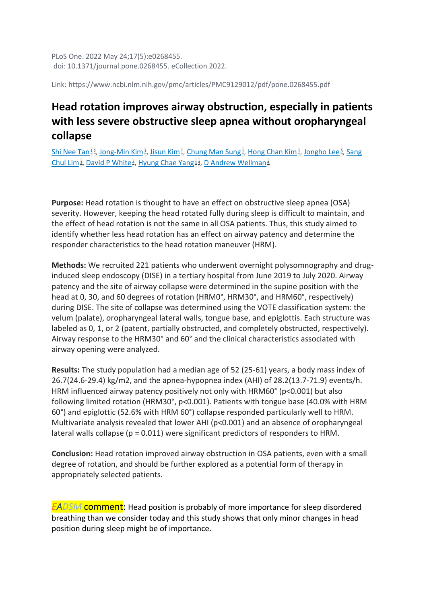PLoS One. 2022 May 24;17(5):e0268455. doi: 10.1371/journal.pone.0268455. eCollection 2022.

Link: https://www.ncbi.nlm.nih.gov/pmc/articles/PMC9129012/pdf/pone.0268455.pdf

## **Head rotation improves airway obstruction, especially in patients with less severe obstructive sleep apnea without oropharyngeal collapse**

[Shi Nee Tan](https://pubmed.ncbi.nlm.nih.gov/?sort=date&size=100&term=Tan+SN&cauthor_id=35609040)<sup>[1](https://pubmed.ncbi.nlm.nih.gov/35609040/#affiliation-1)2</sup>[,](https://pubmed.ncbi.nlm.nih.gov/35609040/#affiliation-3) [Jong-Min Kim](https://pubmed.ncbi.nlm.nih.gov/?sort=date&size=100&term=Kim+JM&cauthor_id=35609040)<sup>1</sup>, [Jisun Kim](https://pubmed.ncbi.nlm.nih.gov/?sort=date&size=100&term=Kim+J&cauthor_id=35609040)<sup>1</sup>, [Chung Man Sung](https://pubmed.ncbi.nlm.nih.gov/?sort=date&size=100&term=Sung+CM&cauthor_id=35609040)<sup>1</sup>, [Hong Chan Kim](https://pubmed.ncbi.nlm.nih.gov/?sort=date&size=100&term=Kim+HC&cauthor_id=35609040)<sup>1</sup>, [Jongho Lee](https://pubmed.ncbi.nlm.nih.gov/?sort=date&size=100&term=Lee+J&cauthor_id=35609040)<sup>3</sup>, Sang [Chul Lim](https://pubmed.ncbi.nlm.nih.gov/?sort=date&size=100&term=Lim+SC&cauthor_id=35609040)<sub>1</sub>[,](https://pubmed.ncbi.nlm.nih.gov/35609040/#affiliation-4) [David P White](https://pubmed.ncbi.nlm.nih.gov/?sort=date&size=100&term=White+DP&cauthor_id=35609040)<sup>4</sup>, [Hyung Chae Yang](https://pubmed.ncbi.nlm.nih.gov/?sort=date&size=100&term=Yang+HC&cauthor_id=35609040)<sup>[1](https://pubmed.ncbi.nlm.nih.gov/35609040/#affiliation-1)4</sup>, [D Andrew Wellman](https://pubmed.ncbi.nlm.nih.gov/?sort=date&size=100&term=Wellman+DA&cauthor_id=35609040)<sup>[4](https://pubmed.ncbi.nlm.nih.gov/35609040/#affiliation-4)</sup>

**Purpose:** Head rotation is thought to have an effect on obstructive sleep apnea (OSA) severity. However, keeping the head rotated fully during sleep is difficult to maintain, and the effect of head rotation is not the same in all OSA patients. Thus, this study aimed to identify whether less head rotation has an effect on airway patency and determine the responder characteristics to the head rotation maneuver (HRM).

**Methods:** We recruited 221 patients who underwent overnight polysomnography and druginduced sleep endoscopy (DISE) in a tertiary hospital from June 2019 to July 2020. Airway patency and the site of airway collapse were determined in the supine position with the head at 0, 30, and 60 degrees of rotation (HRM0°, HRM30°, and HRM60°, respectively) during DISE. The site of collapse was determined using the VOTE classification system: the velum (palate), oropharyngeal lateral walls, tongue base, and epiglottis. Each structure was labeled as 0, 1, or 2 (patent, partially obstructed, and completely obstructed, respectively). Airway response to the HRM30° and 60° and the clinical characteristics associated with airway opening were analyzed.

**Results:** The study population had a median age of 52 (25-61) years, a body mass index of 26.7(24.6-29.4) kg/m2, and the apnea-hypopnea index (AHI) of 28.2(13.7-71.9) events/h. HRM influenced airway patency positively not only with HRM60° (p<0.001) but also following limited rotation (HRM30°, p<0.001). Patients with tongue base (40.0% with HRM 60°) and epiglottic (52.6% with HRM 60°) collapse responded particularly well to HRM. Multivariate analysis revealed that lower AHI (p<0.001) and an absence of oropharyngeal lateral walls collapse (p = 0.011) were significant predictors of responders to HRM.

**Conclusion:** Head rotation improved airway obstruction in OSA patients, even with a small degree of rotation, and should be further explored as a potential form of therapy in appropriately selected patients.

*EADSM* comment: Head position is probably of more importance for sleep disordered breathing than we consider today and this study shows that only minor changes in head position during sleep might be of importance.